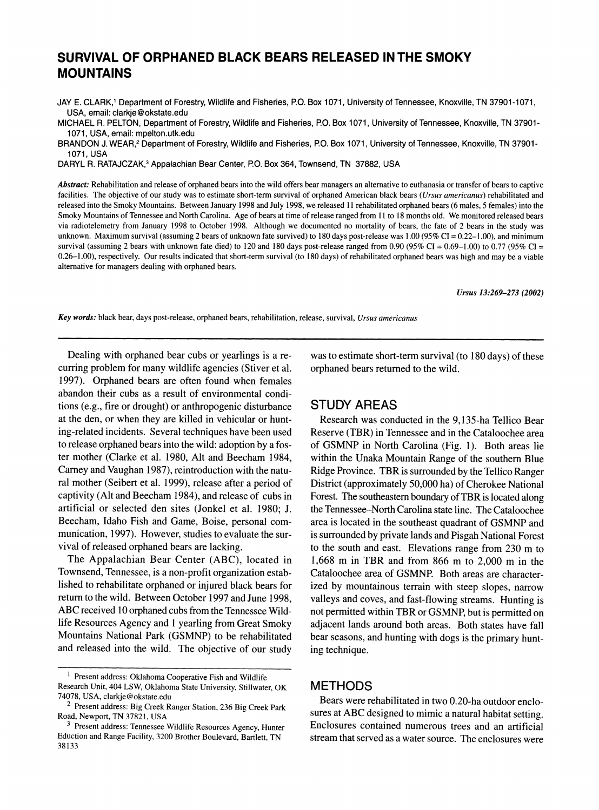# **SURVIVAL OF ORPHANED BLACK BEARS RELEASED IN THE SMOKY MOUNTAINS**

**JAY E. CLARK,' Department of Forestry, Wildlife and Fisheries, P.O. Box 1071, University of Tennessee, Knoxville, TN 37901-1071, USA, email: clarkje@okstate.edu** 

**MICHAEL R. PELTON, Department of Forestry, Wildlife and Fisheries, P.O. Box 1071, University of Tennessee, Knoxville, TN 37901- 1071, USA, email: mpelton.utk.edu** 

**BRANDON J. WEAR,2 Department of Forestry, Wildlife and Fisheries, P.O. Box 1071, University of Tennessee, Knoxville, TN 37901- 1071, USA** 

**DARYL R. RATAJCZAK,3 Appalachian Bear Center, P.O. Box 364, Townsend, TN 37882, USA** 

**Abstract: Rehabilitation and release of orphaned bears into the wild offers bear managers an alternative to euthanasia or transfer of bears to captive**  facilities. The objective of our study was to estimate short-term survival of orphaned American black bears (*Ursus americanus*) rehabilitated and **released into the Smoky Mountains. Between January 1998 and July 1998, we released 11 rehabilitated orphaned bears (6 males, 5 females) into the Smoky Mountains of Tennessee and North Carolina. Age of bears at time of release ranged from 11 to 18 months old. We monitored released bears via radiotelemetry from January 1998 to October 1998. Although we documented no mortality of bears, the fate of 2 bears in the study was unknown. Maximum survival (assuming 2 bears of unknown fate survived) to 180 days post-release was 1.00 (95% CI = 0.22-1.00), and minimum**  survival (assuming 2 bears with unknown fate died) to 120 and 180 days post-release ranged from 0.90 (95% CI =  $0.69-1.00$ ) to 0.77 (95% CI = **0.26-1.00), respectively. Our results indicated that short-term survival (to 180 days) of rehabilitated orphaned bears was high and may be a viable alternative for managers dealing with orphaned bears.** 

**Ursus 13:269-273 (2002)** 

**Key words: black bear, days post-release, orphaned bears, rehabilitation, release, survival, Ursus americanus** 

**Dealing with orphaned bear cubs or yearlings is a recurring problem for many wildlife agencies (Stiver et al. 1997). Orphaned bears are often found when females abandon their cubs as a result of environmental conditions (e.g., fire or drought) or anthropogenic disturbance at the den, or when they are killed in vehicular or hunting-related incidents. Several techniques have been used to release orphaned bears into the wild: adoption by a foster mother (Clarke et al. 1980, Alt and Beecham 1984, Carney and Vaughan 1987), reintroduction with the natural mother (Seibert et al. 1999), release after a period of captivity (Alt and Beecham 1984), and release of cubs in artificial or selected den sites (Jonkel et al. 1980; J. Beecham, Idaho Fish and Game, Boise, personal communication, 1997). However, studies to evaluate the survival of released orphaned bears are lacking.** 

**The Appalachian Bear Center (ABC), located in Townsend, Tennessee, is a non-profit organization established to rehabilitate orphaned or injured black bears for return to the wild. Between October 1997 and June 1998, ABC received 10 orphaned cubs from the Tennessee Wildlife Resources Agency and 1 yearling from Great Smoky Mountains National Park (GSMNP) to be rehabilitated and released into the wild. The objective of our study**  **was to estimate short-term survival (to 180 days) of these orphaned bears returned to the wild.** 

### **STUDY AREAS**

**Research was conducted in the 9,135-ha Tellico Bear Reserve (TBR) in Tennessee and in the Cataloochee area of GSMNP in North Carolina (Fig. 1). Both areas lie within the Unaka Mountain Range of the southern Blue Ridge Province. TBR is surrounded by the Tellico Ranger District (approximately 50,000 ha) of Cherokee National Forest. The southeastern boundary of TBR is located along the Tennessee-North Carolina state line. The Cataloochee area is located in the southeast quadrant of GSMNP and is surrounded by private lands and Pisgah National Forest to the south and east. Elevations range from 230 m to 1,668 m in TBR and from 866 m to 2,000 m in the Cataloochee area of GSMNP. Both areas are characterized by mountainous terrain with steep slopes, narrow valleys and coves, and fast-flowing streams. Hunting is not permitted within TBR or GSMNP, but is permitted on adjacent lands around both areas. Both states have fall bear seasons, and hunting with dogs is the primary hunting technique.** 

## **METHODS**

**Bears were rehabilitated in two 0.20-ha outdoor enclosures at ABC designed to mimic a natural habitat setting. Enclosures contained numerous trees and an artificial stream that served as a water source. The enclosures were** 

**<sup>1</sup>Present address: Oklahoma Cooperative Fish and Wildlife Research Unit, 404 LSW, Oklahoma State University, Stillwater, OK 74078, USA, clarkje@okstate.edu** 

**<sup>2</sup> Present address: Big Creek Ranger Station, 236 Big Creek Park Road, Newport, TN 37821, USA** 

**<sup>3</sup> Present address: Tennessee Wildlife Resources Agency, Hunter Eduction and Range Facility, 3200 Brother Boulevard, Bartlett, TN 38133**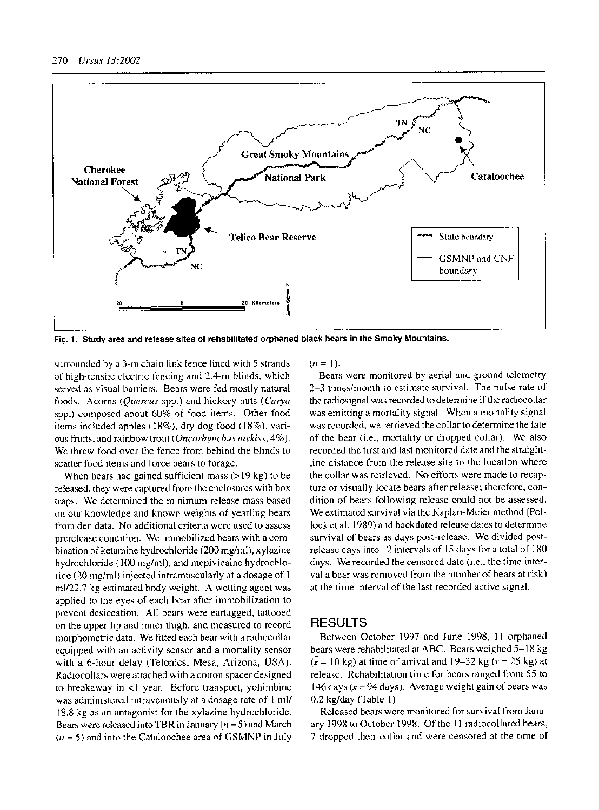

**Fig. 1. Study area and release sites of rehabilitated orphaned black bears in the Smoky Mountains.** 

**surrounded by a 3-m chain link fence lined with 5 strands of high-tensile electric fencing and 2.4-m blinds, which served as visual barriers. Bears were fed mostly natural foods. Acorns (Quercus spp.) and hickory nuts (Carya spp.) composed about 60% of food items. Other food items included apples (18%), dry dog food (18%), various fruits, and rainbow trout (Oncorhynchus mykiss; 4%). We threw food over the fence from behind the blinds to scatter food items and force bears to forage.** 

**When bears had gained sufficient mass (>19 kg) to be released, they were captured from the enclosures with box traps. We determined the minimum release mass based on our knowledge and known weights of yearling bears from den data. No additional criteria were used to assess prerelease condition. We immobilized bears with a combination of ketamine hydrochloride (200 mg/ml), xylazine hydrochloride (100 mg/ml), and mepivicaine hydrochloride (20 mg/ml) injected intramuscularly at a dosage of 1 ml/22.7 kg estimated body weight. A wetting agent was applied to the eyes of each bear after immobilization to prevent desiccation. All bears were eartagged, tattooed on the upper lip and inner thigh, and measured to record morphometric data. We fitted each bear with a radiocollar equipped with an activity sensor and a mortality sensor with a 6-hour delay (Telonics, Mesa, Arizona, USA). Radiocollars were attached with a cotton spacer designed to breakaway in <1 year. Before transport, yohimbine was administered intravenously at a dosage rate of 1 ml/ 18.8 kg as an antagonist for the xylazine hydrochloride. Bears were released into TBR in January (n = 5) and March (n = 5) and into the Cataloochee area of GSMNP in July** 

#### $(n = 1)$ .

**Bears were monitored by aerial and ground telemetry 2-3 times/month to estimate survival. The pulse rate of the radiosignal was recorded to determine if the radiocollar was emitting a mortality signal. When a mortality signal was recorded, we retrieved the collar to determine the fate of the bear (i.e., mortality or dropped collar). We also recorded the first and last monitored date and the straightline distance from the release site to the location where the collar was retrieved. No efforts were made to recapture or visually locate bears after release; therefore, condition of bears following release could not be assessed. We estimated survival via the Kaplan-Meier method (Pollock et al. 1989) and backdated release dates to determine survival of bears as days post-release. We divided postrelease days into 12 intervals of 15 days for a total of 180 days. We recorded the censored date (i.e., the time interval a bear was removed from the number of bears at risk) at the time interval of the last recorded active signal.** 

#### **RESULTS**

**Between October 1997 and June 1998, 11 orphaned bears were rehabilitated at ABC. Bears weighed 5-18 kg**   $(\mathbf{x} = 10 \text{ kg})$  at time of arrival and 19–32 kg  $(\mathbf{x} = 25 \text{ kg})$  at **release. Rehabilitation time for bears ranged from 55 to 146 days (x = 94 days). Average weight gain of bears was 0.2 kg/day (Table 1).** 

**Released bears were monitored for survival from January 1998 to October 1998. Of the 11 radiocollared bears, 7 dropped their collar and were censored at the time of**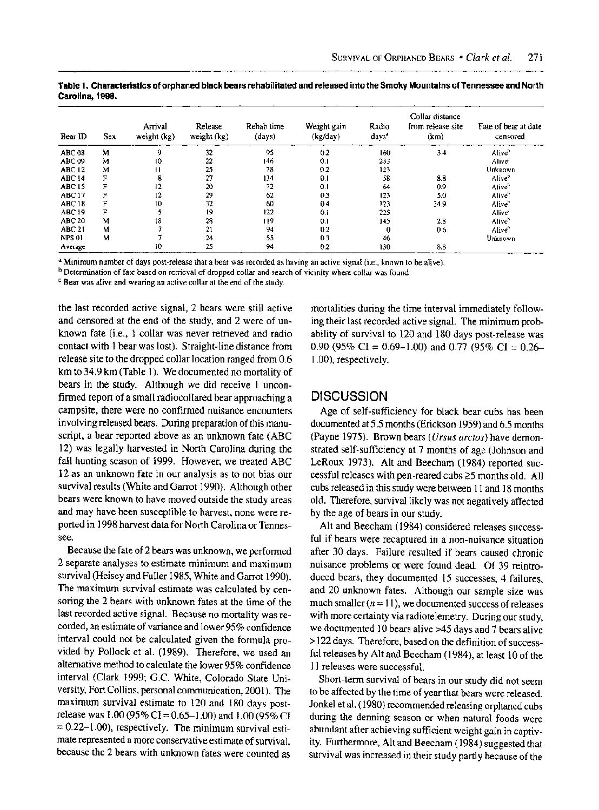| Bear ID           | <b>Sex</b> | Arrival<br>weight (kg) | Release<br>weight (kg) | Rehab time<br>(days) | Weight gain<br>(kg/day) | Radio<br>days' | Collar distance<br>from release site<br>(km) | Fate of bear at date<br>censored |
|-------------------|------------|------------------------|------------------------|----------------------|-------------------------|----------------|----------------------------------------------|----------------------------------|
| <b>ABC 08</b>     | М          | G,                     | 32                     | 95                   | 0.2                     | 160            | 3.4                                          | Alive <sup>h</sup>               |
| ABC 09            | м          | 10                     | 22                     | 146                  | 0.1                     | 233            |                                              | Alive <sup>s</sup>               |
| <b>ABC 12</b>     | м          | п                      | 25                     | 78                   | 0.2                     | 123            |                                              | Unknown                          |
| <b>ABC 14</b>     | F          | 8                      | 27                     | 134                  | 0.1                     | 58             | 8.8                                          | Aliveb                           |
| ABC <sub>15</sub> | F          | 12                     | 20                     | 72                   | 0.1                     | 64             | 0.9                                          | Aliveb                           |
| <b>ABC 17</b>     | F          | 12                     | 29                     | 62                   | 0.3                     | 123            | 5.0                                          | Aliveb                           |
| <b>ABC 18</b>     |            | 10                     | 32                     | 60                   | 0.4                     | 123            | 34.9                                         | Alive <sup>b</sup>               |
| <b>ABC 19</b>     | F          |                        | 19                     | 122                  | 0.1                     | 225            |                                              | Alive <sup>c</sup>               |
| <b>ABC 20</b>     | М          | 18                     | 28                     | 119                  | 0.1                     | 145            | 2.8                                          | Alive <sup>b</sup>               |
| <b>ABC 21</b>     | М          |                        | 21                     | 94                   | 0.2                     | 0              | 0.6                                          | Alive <sup>r</sup>               |
| <b>NPS 01</b>     | M          |                        | 24                     | 55                   | 0.3                     | 46             |                                              | Unknown                          |
| Average           |            | 10                     | 25                     | 94                   | 0.2                     | 130            | 8.8                                          |                                  |

**Table 1. Characteristics of orphaned black bears rehabilitated and released into the Smoky Mountains of Tennessee and North Carolina, 1998.** 

a Minimum number of days post-release that a bear was recorded as having an active signal (i.e., known to be alive).<br><sup>b</sup> Determination of fate based on retrieval of dropped collar and search of vicinity where collar was fo

**c Bear was alive and wearing an active collar at the end of the study.** 

**the last recorded active signal, 2 bears were still active and censored at the end of the study, and 2 were of unknown fate (i.e., 1 collar was never retrieved and radio contact with 1 bear was lost). Straight-line distance from release site to the dropped collar location ranged from 0.6 km to 34.9 km (Table 1). We documented no mortality of bears in the study. Although we did receive 1 unconfirmed report of a small radiocollared bear approaching a campsite, there were no confirmed nuisance encounters involving released bears. During preparation of this manuscript, a bear reported above as an unknown fate (ABC 12) was legally harvested in North Carolina during the fall hunting season of 1999. However, we treated ABC 12 as an unknown fate in our analysis as to not bias our survival results (White and Garrot 1990). Although other bears were known to have moved outside the study areas and may have been susceptible to harvest, none were reported in 1998 harvest data for North Carolina or Tennessee.** 

**Because the fate of 2 bears was unknown, we performed 2 separate analyses to estimate minimum and maximum survival (Heisey and Fuller 1985, White and Garrot 1990). The maximum survival estimate was calculated by censoring the 2 bears with unknown fates at the time of the last recorded active signal. Because no mortality was recorded, an estimate of variance and lower 95% confidence interval could not be calculated given the formula provided by Pollock et al. (1989). Therefore, we used an alternative method to calculate the lower 95% confidence interval (Clark 1999; G.C. White, Colorado State University, Fort Collins, personal communication, 2001). The maximum survival estimate to 120 and 180 days postrelease was 1.00 (95% CI = 0.65-1.00) and 1.00 (95% CI = 0.22-1.00), respectively. The minimum survival estimate represented a more conservative estimate of survival, because the 2 bears with unknown fates were counted as** 

**mortalities during the time interval immediately following their last recorded active signal. The minimum probability of survival to 120 and 180 days post-release was 0.90 (95% CI = 0.69-1.00) and 0.77 (95% CI = 0.26- 1.00), respectively.** 

# **DISCUSSION**

**Age of self-sufficiency for black bear cubs has been documented at 5.5 months (Erickson 1959) and 6.5 months (Payne 1975). Brown bears (Ursus arctos) have demonstrated self-sufficiency at 7 months of age (Johnson and LeRoux 1973). Alt and Beecham (1984) reported successful releases with pen-reared cubs >5 months old. All cubs released in this study were between 11 and 18 months old. Therefore, survival likely was not negatively affected by the age of bears in our study.** 

**Alt and Beecham (1984) considered releases successful if bears were recaptured in a non-nuisance situation after 30 days. Failure resulted if bears caused chronic nuisance problems or were found dead. Of 39 reintroduced bears, they documented 15 successes, 4 failures, and 20 unknown fates. Although our sample size was**  much smaller  $(n = 11)$ , we documented success of releases **with more certainty via radiotelemetry. During our study, we documented 10 bears alive >45 days and 7 bears alive >122 days. Therefore, based on the definition of successful releases by Alt and Beecham (1984), at least 10 of the 11 releases were successful.** 

**Short-term survival of bears in our study did not seem to be affected by the time of year that bears were released. Jonkel et al. (1980) recommended releasing orphaned cubs during the denning season or when natural foods were abundant after achieving sufficient weight gain in captivity. Furthermore, Alt and Beecham (1984) suggested that survival was increased in their study partly because of the**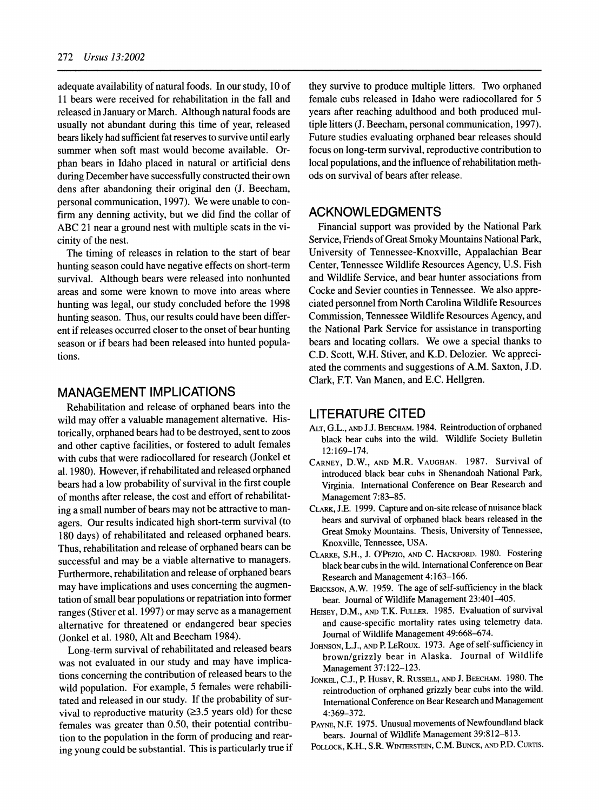**adequate availability of natural foods. In our study, 10 of 11 bears were received for rehabilitation in the fall and released in January or March. Although natural foods are usually not abundant during this time of year, released bears likely had sufficient fat reserves to survive until early summer when soft mast would become available. Orphan bears in Idaho placed in natural or artificial dens during December have successfully constructed their own dens after abandoning their original den (J. Beecham, personal communication, 1997). We were unable to confirm any denning activity, but we did find the collar of ABC 21 near a ground nest with multiple scats in the vicinity of the nest.** 

**The timing of releases in relation to the start of bear hunting season could have negative effects on short-term survival. Although bears were released into nonhunted areas and some were known to move into areas where hunting was legal, our study concluded before the 1998 hunting season. Thus, our results could have been different if releases occurred closer to the onset of bear hunting season or if bears had been released into hunted populations.** 

# **MANAGEMENT IMPLICATIONS**

**Rehabilitation and release of orphaned bears into the wild may offer a valuable management alternative. Historically, orphaned bears had to be destroyed, sent to zoos and other captive facilities, or fostered to adult females with cubs that were radiocollared for research (Jonkel et al. 1980). However, if rehabilitated and released orphaned bears had a low probability of survival in the first couple of months after release, the cost and effort of rehabilitating a small number of bears may not be attractive to managers. Our results indicated high short-term survival (to 180 days) of rehabilitated and released orphaned bears. Thus, rehabilitation and release of orphaned bears can be successful and may be a viable alternative to managers. Furthermore, rehabilitation and release of orphaned bears may have implications and uses concerning the augmentation of small bear populations or repatriation into former ranges (Stiver et al. 1997) or may serve as a management alternative for threatened or endangered bear species (Jonkel et al. 1980, Alt and Beecham 1984).** 

**Long-term survival of rehabilitated and released bears was not evaluated in our study and may have implications concerning the contribution of released bears to the wild population. For example, 5 females were rehabilitated and released in our study. If the probability of sur**vival to reproductive maturity  $(23.5 \text{ years old})$  for these **females was greater than 0.50, their potential contribution to the population in the form of producing and rearing young could be substantial. This is particularly true if**  **they survive to produce multiple litters. Two orphaned female cubs released in Idaho were radiocollared for 5 years after reaching adulthood and both produced multiple litters (J. Beecham, personal communication, 1997). Future studies evaluating orphaned bear releases should focus on long-term survival, reproductive contribution to local populations, and the influence of rehabilitation methods on survival of bears after release.** 

### **ACKNOWLEDGMENTS**

**Financial support was provided by the National Park Service, Friends of Great Smoky Mountains National Park, University of Tennessee-Knoxville, Appalachian Bear Center, Tennessee Wildlife Resources Agency, U.S. Fish and Wildlife Service, and bear hunter associations from Cocke and Sevier counties in Tennessee. We also appreciated personnel from North Carolina Wildlife Resources Commission, Tennessee Wildlife Resources Agency, and the National Park Service for assistance in transporting bears and locating collars. We owe a special thanks to C.D. Scott, W.H. Stiver, and K.D. Delozier. We appreciated the comments and suggestions of A.M. Saxton, J.D. Clark, F.T. Van Manen, and E.C. Hellgren.** 

### **LITERATURE CITED**

- **ALT, G.L., AND J.J. BEECHAM. 1984. Reintroduction of orphaned black bear cubs into the wild. Wildlife Society Bulletin 12:169-174.**
- **CARNEY, D.W., AND M.R. VAUGHAN. 1987. Survival of introduced black bear cubs in Shenandoah National Park, Virginia. International Conference on Bear Research and Management 7:83-85.**
- **CLARK, J.E. 1999. Capture and on-site release of nuisance black bears and survival of orphaned black bears released in the Great Smoky Mountains. Thesis, University of Tennessee, Knoxville, Tennessee, USA.**
- **CLARKE, S.H., J. O'PEZIO, AND C. HACKFORD. 1980. Fostering black bear cubs in the wild. International Conference on Bear Research and Management 4:163-166.**
- **ERICKSON, A.W. 1959. The age of self-sufficiency in the black bear. Journal of Wildlife Management 23:401-405.**
- **HEISEY, D.M., AND T.K. FULLER. 1985. Evaluation of survival and cause-specific mortality rates using telemetry data. Journal of Wildlife Management 49:668-674.**
- **JOHNSON, L.J., AND P. LEROUX. 1973. Age of self-sufficiency in brown/grizzly bear in Alaska. Journal of Wildlife Management 37:122-123.**
- **JONKEL, C.J., P. HUSBY, R. RUSSELL, AND J. BEECHAM. 1980. The reintroduction of orphaned grizzly bear cubs into the wild. International Conference on Bear Research and Management 4:369-372.**
- **PAYNE, N.F. 1975. Unusual movements of Newfoundland black bears. Journal of Wildlife Management 39:812-813.**
- **POLLOCK, K.H., S.R. WINTERSTEN, C.M. BUNCK, AND P.D. CURTIS.**